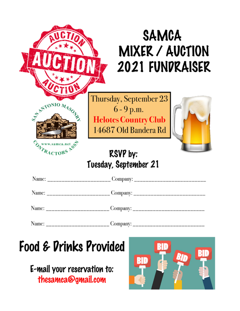|                                 | <b>SAMCA</b><br>MIXER / AUCTION<br>2021 FUNDRAISER                                            |
|---------------------------------|-----------------------------------------------------------------------------------------------|
| ARA A                           | Thursday, September 23<br>$6 - 9$ p.m.<br><b>Helotes Country Club</b><br>14687 Old Bandera Rd |
|                                 | <b>RSVP</b> by:<br>Tuesday, September 21                                                      |
|                                 |                                                                                               |
|                                 | Name: _________________________Company: _____________________                                 |
|                                 |                                                                                               |
| Name: _________________________ |                                                                                               |

# Food & Drinks Provided

E-mail your reservation to: thesamca@gmail.com

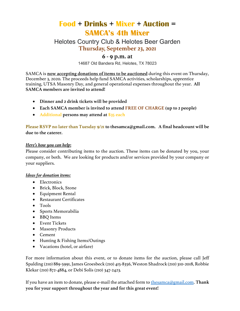# **Food + Drinks + Mixer + Auction = SAMCA's 4th Mixer**

Helotes Country Club & Helotes Beer Garden **Thursday, September 23, 2021**

### **6 - 9 p.m. at**

14687 Old Bandera Rd, Helotes, TX 78023

SAMCA is **now accepting donations of items to be auctioned** during this event on Thursday, December 3, 2020. The proceeds help fund SAMCA activities, scholarships, apprentice training, UTSA Masonry Day, and general operational expenses throughout the year. **All SAMCA members are invited to attend!** 

- **Dinner and 2 drink tickets will be provided**
- **Each SAMCA member is invited to attend FREE OF CHARGE (up to 2 people)**
- **Additional persons may attend at \$35 each**

#### **Please RSVP no later than Tuesday 9/21 to thesamca@gmail.com. A final headcount will be due to the caterer.**

#### *Here's how you can help***:**

Please consider contributing items to the auction. These items can be donated by you, your company, or both. We are looking for products and/or services provided by your company or your suppliers.

#### *Ideas for donation items:*

- Electronics
- Brick, Block, Stone
- Equipment Rental
- Restaurant Certificates
- Tools
- Sports Memorabilia
- BBQ Items
- Event Tickets
- Masonry Products
- Cement
- Hunting & Fishing Items/Outings
- Vacations (hotel, or airfare)

For more information about this event, or to donate items for the auction, please call Jeff Spalding (210) 889-5991, James Groesbeck (210) 415-8356, Weston Shadrock (210) 310-2018, Robbie Klekar (210) 872-4884, or Debi Solis (210) 347-2423.

If you have an item to donate, please e-mail the attached form to thesamca@gmail.com. **Thank you for your support throughout the year and for this great event!**